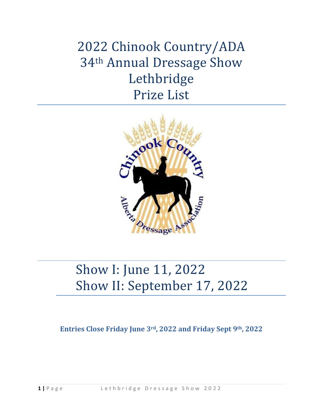2022 Chinook Country/ADA 34th Annual Dressage Show Lethbridge Prize List



# Show I: June 11, 2022 Show II: September 17, 2022

**Entries Close Friday June 3rd, 2022 and Friday Sept 9th, 2022**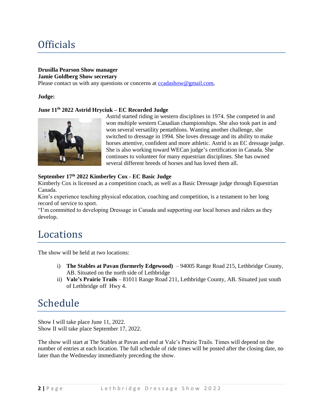# **Officials**

#### **Drusilla Pearson Show manager Jamie Goldberg Show secretary**

Please contact us with any questions or concerns at [ccadashow@gmail.com,](about:blank)

#### **Judge:**

#### **June 11th 2022 Astrid Hryciuk – EC Recorded Judge**



Astrid started riding in western disciplines in 1974. She competed in and won multiple western Canadian championships. She also took part in and won several versatility pentathlons. Wanting another challenge, she switched to dressage in 1994. She loves dressage and its ability to make horses attentive, confident and more athletic. Astrid is an EC dressage judge. She is also working toward WECan judge's certification in Canada. She continues to volunteer for many equestrian disciplines. She has owned several different breeds of horses and has loved them all.

#### **September 17th 2022 Kimberley Cox - EC Basic Judge**

Kimberly Cox is licensed as a competition coach, as well as a Basic Dressage judge through Equestrian Canada.

Kim's experience teaching physical education, coaching and competition, is a testament to her long record of service to sport.

"I'm committed to developing Dressage in Canada and supporting our local horses and riders as they develop.

### Locations

The show will be held at two locations:

- i) **The Stables at Pavan (formerly Edgewood)**  94005 Range Road 215, Lethbridge County, AB. Situated on the north side of Lethbridge
- ii) **Vale's Prairie Trails** 81011 Range Road 211, Lethbridge County, AB. Situated just south of Lethbridge off Hwy 4.

### Schedule

Show I will take place June 11, 2022. Show II will take place September 17, 2022.

The show will start at The Stables at Pavan and end at Vale's Prairie Trails. Times will depend on the number of entries at each location. The full schedule of ride times will be posted after the closing date, no later than the Wednesday immediately preceding the show.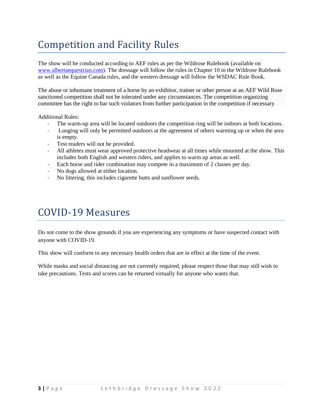# Competition and Facility Rules

The show will be conducted according to AEF rules as per the Wildrose Rulebook (available on [www.albertaequestrian.com\)](about:blank). The dressage will follow the rules in Chapter 10 in the Wildrose Rulebook as well as the Equine Canada rules, and the western dressage will follow the WSDAC Rule Book.

The abuse or inhumane treatment of a horse by an exhibitor, trainer or other person at an AEF Wild Rose sanctioned competition shall not be tolerated under any circumstances. The competition organizing committee has the right to bar such violators from further participation in the competition if necessary

Additional Rules:

- The warm-up area will be located outdoors the competition ring will be indoors at both locations.
- Lunging will only be permitted outdoors at the agreement of others warming up or when the area is empty.
- Test readers will not be provided.
- All athletes must wear approved protective headwear at all times while mounted at the show. This includes both English and western riders, and applies to warm up areas as well.
- Each horse and rider combination may compete in a maximum of 2 classes per day.
- No dogs allowed at either location.
- No littering, this includes cigarette butts and sunflower seeds.

# COVID-19 Measures

Do not come to the show grounds if you are experiencing any symptoms or have suspected contact with anyone with COVID-19.

This show will conform to any necessary health orders that are in effect at the time of the event.

While masks and social distancing are not currently required, please respect those that may still wish to take precautions. Tests and scores can be returned virtually for anyone who wants that.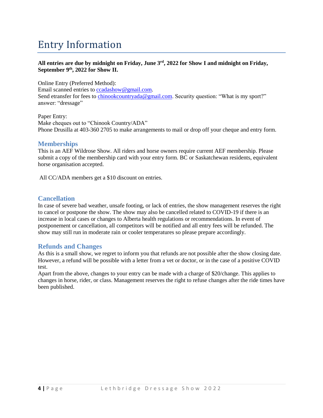# Entry Information

#### **All entries are due by midnight on Friday, June 3rd, 2022 for Show I and midnight on Friday, September 9th, 2022 for Show II.**

Online Entry (Preferred Method): Email scanned entries t[o ccadashow@gmail.com.](about:blank) Send etransfer for fees to [chinookcountryada@gmail.com.](about:blank) Security question: "What is my sport?" answer: "dressage"

Paper Entry: Make cheques out to "Chinook Country/ADA" Phone Drusilla at 403-360 2705 to make arrangements to mail or drop off your cheque and entry form.

### **Memberships**

This is an AEF Wildrose Show. All riders and horse owners require current AEF membership. Please submit a copy of the membership card with your entry form. BC or Saskatchewan residents, equivalent horse organisation accepted.

All CC/ADA members get a \$10 discount on entries.

### **Cancellation**

In case of severe bad weather, unsafe footing, or lack of entries, the show management reserves the right to cancel or postpone the show. The show may also be cancelled related to COVID-19 if there is an increase in local cases or changes to Alberta health regulations or recommendations. In event of postponement or cancellation, all competitors will be notified and all entry fees will be refunded. The show may still run in moderate rain or cooler temperatures so please prepare accordingly.

### **Refunds and Changes**

As this is a small show, we regret to inform you that refunds are not possible after the show closing date. However, a refund will be possible with a letter from a vet or doctor, or in the case of a positive COVID test.

Apart from the above, changes to your entry can be made with a charge of \$20/change. This applies to changes in horse, rider, or class. Management reserves the right to refuse changes after the ride times have been published.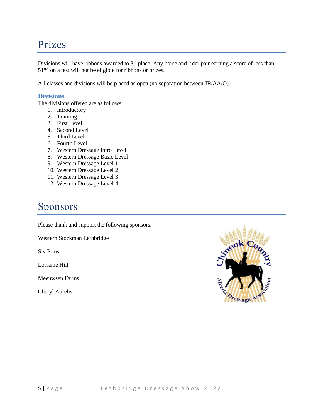### Prizes

Divisions will have ribbons awarded to 3<sup>rd</sup> place. Any horse and rider pair earning a score of less than 51% on a test will not be eligible for ribbons or prizes.

All classes and divisions will be placed as open (no separation between JR/AA/O).

### **Divisions**

The divisions offered are as follows:

- 1. Introductory
- 2. Training
- 3. First Level
- 4. Second Level
- 5. Third Level
- 6. Fourth Level
- 7. Western Dressage Intro Level
- 8. Western Dressage Basic Level
- 9. Western Dressage Level 1
- 10. Western Dressage Level 2
- 11. Western Dressage Level 3
- 12. Western Dressage Level 4

# Sponsors

Please thank and support the following sponsors:

Western Stockman Lethbridge

Siv Prins

Lorraine Hill

Meeuwsen Farms

Cheryl Aurelis

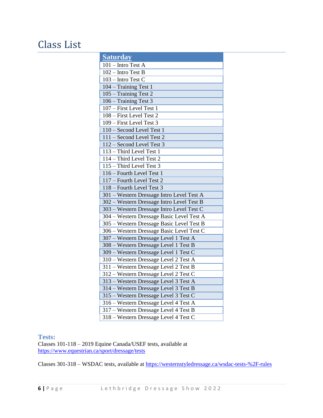# Class List

| <b>Saturday</b>                           |
|-------------------------------------------|
| $101$ – Intro Test A                      |
| $102 - Intro Test B$                      |
| $103 - Intro Test C$                      |
| 104 – Training Test 1                     |
| 105 - Training Test 2                     |
| 106 - Training Test 3                     |
| 107 – First Level Test 1                  |
| 108 - First Level Test 2                  |
| 109 - First Level Test 3                  |
| 110 - Second Level Test 1                 |
| 111 - Second Level Test 2                 |
| 112 - Second Level Test 3                 |
| 113 - Third Level Test 1                  |
| 114 - Third Level Test 2                  |
| 115 - Third Level Test 3                  |
| 116 - Fourth Level Test 1                 |
| 117 - Fourth Level Test 2                 |
| 118 - Fourth Level Test 3                 |
| 301 - Western Dressage Intro Level Test A |
| 302 - Western Dressage Intro Level Test B |
| 303 - Western Dressage Intro Level Test C |
| 304 - Western Dressage Basic Level Test A |
| 305 - Western Dressage Basic Level Test B |
| 306 - Western Dressage Basic Level Test C |
| 307 - Western Dressage Level 1 Test A     |
| 308 - Western Dressage Level 1 Test B     |
| 309 - Western Dressage Level 1 Test C     |
| 310 - Western Dressage Level 2 Test A     |
| 311 - Western Dressage Level 2 Test B     |
| 312 - Western Dressage Level 2 Test C     |
| 313 - Western Dressage Level 3 Test A     |
| 314 - Western Dressage Level 3 Test B     |
| 315 - Western Dressage Level 3 Test C     |
| 316 - Western Dressage Level 4 Test A     |
| 317 - Western Dressage Level 4 Test B     |
| 318 - Western Dressage Level 4 Test C     |

#### **Tests:**

Classes 101-118 – 2019 Equine Canada/USEF tests, available at [https://www.equestrian.ca/sport/dressage/tests](about:blank)

Classes 301-318 – WSDAC tests, available at [https://westernstyledressage.ca/wsdac-tests-%2F-rules](about:blank)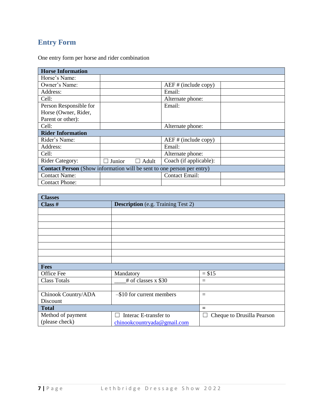### **Entry Form**

One entry form per horse and rider combination

| <b>Horse Information</b>                                                      |        |                 |                         |  |
|-------------------------------------------------------------------------------|--------|-----------------|-------------------------|--|
| Horse's Name:                                                                 |        |                 |                         |  |
| Owner's Name:                                                                 |        |                 | $AEF \# (include copy)$ |  |
| Address:                                                                      |        |                 | Email:                  |  |
| Cell:                                                                         |        |                 | Alternate phone:        |  |
| Person Responsible for                                                        |        |                 | Email:                  |  |
| Horse (Owner, Rider,                                                          |        |                 |                         |  |
| Parent or other):                                                             |        |                 |                         |  |
| Cell:                                                                         |        |                 | Alternate phone:        |  |
| <b>Rider Information</b>                                                      |        |                 |                         |  |
| Rider's Name:                                                                 |        |                 | $AEF$ # (include copy)  |  |
| Address:                                                                      |        |                 | Email:                  |  |
| Cell:                                                                         |        |                 | Alternate phone:        |  |
| <b>Rider Category:</b>                                                        | Junior | Adult<br>$\Box$ | Coach (if applicable):  |  |
| <b>Contact Person</b> (Show information will be sent to one person per entry) |        |                 |                         |  |
| <b>Contact Name:</b>                                                          |        |                 | <b>Contact Email:</b>   |  |
| <b>Contact Phone:</b>                                                         |        |                 |                         |  |

| <b>Classes</b>      |                                           |                                 |  |  |
|---------------------|-------------------------------------------|---------------------------------|--|--|
| Class $#$           | <b>Description</b> (e.g. Training Test 2) |                                 |  |  |
|                     |                                           |                                 |  |  |
|                     |                                           |                                 |  |  |
|                     |                                           |                                 |  |  |
|                     |                                           |                                 |  |  |
|                     |                                           |                                 |  |  |
|                     |                                           |                                 |  |  |
|                     |                                           |                                 |  |  |
|                     |                                           |                                 |  |  |
| <b>Fees</b>         |                                           |                                 |  |  |
| Office Fee          | Mandatory                                 | $= $15$                         |  |  |
| <b>Class Totals</b> | # of classes $x$ \$30                     | $=$                             |  |  |
|                     |                                           |                                 |  |  |
| Chinook Country/ADA | $-$ \$10 for current members              | $=$                             |  |  |
| Discount            |                                           |                                 |  |  |
| <b>Total</b>        |                                           | $=$                             |  |  |
| Method of payment   | Interac E-transfer to                     | Cheque to Drusilla Pearson<br>L |  |  |
| (please check)      | chinookcountryada@gmail.com               |                                 |  |  |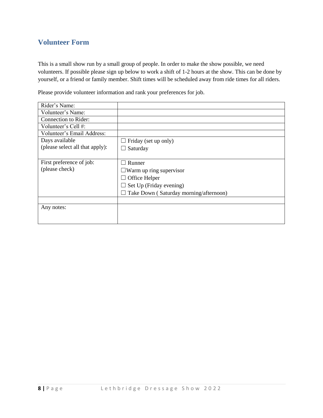### **Volunteer Form**

This is a small show run by a small group of people. In order to make the show possible, we need volunteers. If possible please sign up below to work a shift of 1-2 hours at the show. This can be done by yourself, or a friend or family member. Shift times will be scheduled away from ride times for all riders.

Please provide volunteer information and rank your preferences for job.

| Rider's Name:                   |                                        |
|---------------------------------|----------------------------------------|
| Volunteer's Name:               |                                        |
| Connection to Rider:            |                                        |
| Volunteer's Cell #:             |                                        |
| Volunteer's Email Address:      |                                        |
| Days available                  | Friday (set up only)                   |
| (please select all that apply): | Saturday<br>$\Box$                     |
|                                 |                                        |
| First preference of job:        | Runner                                 |
| (please check)                  | $\Box$ Warm up ring supervisor         |
|                                 | Office Helper<br>ப                     |
|                                 | Set Up (Friday evening)                |
|                                 | Take Down (Saturday morning/afternoon) |
|                                 |                                        |
| Any notes:                      |                                        |
|                                 |                                        |
|                                 |                                        |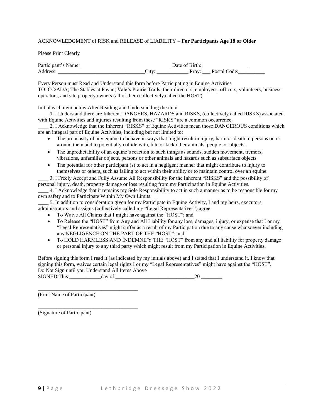#### ACKNOWLEDGMENT of RISK and RELEASE of LIABILITY – **For Participants Age 18 or Older**

#### Please Print Clearly

| $\mathbf{D}_{\Omega}$<br>.  .<br>* ur |                                      |                                       |                             |
|---------------------------------------|--------------------------------------|---------------------------------------|-----------------------------|
| -<br><b>UU</b><br>___________         | $+77$<br>◡ェ៶<br>________<br>________ | $- - -$<br>$\cdot$<br>_____<br>______ | ററല<br>_________<br>_______ |

Every Person must Read and Understand this form before Participating in Equine Activities TO: CC/ADA; The Stables at Pavan; Vale's Prairie Trails; their directors, employees, officers, volunteers, business operators, and site property owners (all of them collectively called the HOST)

Initial each item below After Reading and Understanding the item

1. I Understand there are Inherent DANGERS, HAZARDS and RISKS, (collectively called RISKS) associated with Equine Activities and injuries resulting from these "RISKS" are a common occurrence.

\_\_\_\_ 2. I Acknowledge that the Inherent "RISKS" of Equine Activities mean those DANGEROUS conditions which are an integral part of Equine Activities, including but not limited to:

- The propensity of any equine to behave in ways that might result in injury, harm or death to persons on or around them and to potentially collide with, bite or kick other animals, people, or objects.
- The unpredictability of an equine's reaction to such things as sounds, sudden movement, tremors, vibrations, unfamiliar objects, persons or other animals and hazards such as subsurface objects.
- The potential for other participant (s) to act in a negligent manner that might contribute to injury to themselves or others, such as failing to act within their ability or to maintain control over an equine.
- \_\_\_\_ 3. I Freely Accept and Fully Assume All Responsibility for the Inherent "RISKS" and the possibility of personal injury, death, property damage or loss resulting from my Participation in Equine Activities.

\_\_\_\_ 4. I Acknowledge that it remains my Sole Responsibility to act in such a manner as to be responsible for my own safety and to Participate Within My Own Limits.

5. In addition to consideration given for my Participate in Equine Activity, I and my heirs, executors, administrators and assigns (collectively called my "Legal Representatives") agree

- To Waive All Claims that I might have against the "HOST"; and
- To Release the "HOST" from Any and All Liability for any loss, damages, injury, or expense that I or my "Legal Representatives" might suffer as a result of my Participation due to any cause whatsoever including any NEGLIGENCE ON THE PART OF THE "HOST"; and
- To HOLD HARMLESS AND INDEMNIFY THE "HOST" from any and all liability for property damage or personal injury to any third party which might result from my Participation in Equine Activities.

Before signing this form I read it (as indicated by my initials above) and I stated that I understand it. I know that signing this form, waives certain legal rights I or my "Legal Representatives" might have against the "HOST". Do Not Sign until you Understand All Items Above SIGNED This day of 20

(Print Name of Participant)

\_\_\_\_\_\_\_\_\_\_\_\_\_\_\_\_\_\_\_\_\_\_\_\_\_\_\_\_\_\_\_\_\_\_\_\_\_\_

\_\_\_\_\_\_\_\_\_\_\_\_\_\_\_\_\_\_\_\_\_\_\_\_\_\_\_\_\_\_\_\_\_\_\_\_\_\_

(Signature of Participant)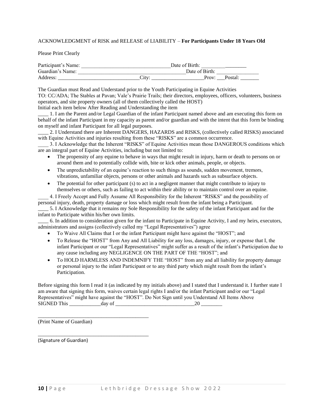#### ACKNOWLEDGMENT of RISK and RELEASE of LIABILITY – **For Participants Under 18 Years Old**

Please Print Clearly

| Participant's Name: | Date of Birth: |         |
|---------------------|----------------|---------|
| Guardian's Name:    | Date of Birth: |         |
| Address:            | .`itv<br>Prov: | Postal: |

The Guardian must Read and Understand prior to the Youth Participating in Equine Activities TO: CC/ADA; The Stables at Pavan; Vale's Prairie Trails; their directors, employees, officers, volunteers, business operators, and site property owners (all of them collectively called the HOST)

Initial each item below After Reading and Understanding the item

\_\_\_\_ 1. I am the Parent and/or Legal Guardian of the infant Participant named above and am executing this form on behalf of the infant Participant in my capacity as parent and/or guardian and with the intent that this form be binding on myself and infant Participant for all legal purposes.

2. I Understand there are Inherent DANGERS, HAZARDS and RISKS, (collectively called RISKS) associated with Equine Activities and injuries resulting from these "RISKS" are a common occurrence.

\_\_\_\_ 3. I Acknowledge that the Inherent "RISKS" of Equine Activities mean those DANGEROUS conditions which are an integral part of Equine Activities, including but not limited to:

- The propensity of any equine to behave in ways that might result in injury, harm or death to persons on or around them and to potentially collide with, bite or kick other animals, people, or objects.
- The unpredictability of an equine's reaction to such things as sounds, sudden movement, tremors, vibrations, unfamiliar objects, persons or other animals and hazards such as subsurface objects.
- The potential for other participant (s) to act in a negligent manner that might contribute to injury to themselves or others, such as failing to act within their ability or to maintain control over an equine.

\_\_\_\_ 4. I Freely Accept and Fully Assume All Responsibility for the Inherent "RISKS" and the possibility of personal injury, death, property damage or loss which might result from the infant being a Participant.

\_\_\_\_ 5. I Acknowledge that it remains my Sole Responsibility for the safety of the infant Participant and for the infant to Participate within his/her own limits.

\_\_\_\_ 6. In addition to consideration given for the infant to Participate in Equine Activity, I and my heirs, executors, administrators and assigns (collectively called my "Legal Representatives") agree

- To Waive All Claims that I or the infant Participant might have against the "HOST"; and
- To Release the "HOST" from Any and All Liability for any loss, damages, injury, or expense that I, the infant Participant or our "Legal Representatives" might suffer as a result of the infant's Participation due to any cause including any NEGLIGENCE ON THE PART OF THE "HOST"; and
- To HOLD HARMLESS AND INDEMNIFY THE "HOST" from any and all liability for property damage or personal injury to the infant Participant or to any third party which might result from the infant's Participation.

Before signing this form I read it (as indicated by my initials above) and I stated that I understand it. I further state I am aware that signing this form, waives certain legal rights I and/or the infant Participant and/or our "Legal Representatives" might have against the "HOST". Do Not Sign until you Understand All Items Above SIGNED This day of  $20$ 

(Print Name of Guardian)

\_\_\_\_\_\_\_\_\_\_\_\_\_\_\_\_\_\_\_\_\_\_\_\_\_\_\_\_\_\_\_\_\_\_\_\_\_\_\_\_\_\_

\_\_\_\_\_\_\_\_\_\_\_\_\_\_\_\_\_\_\_\_\_\_\_\_\_\_\_\_\_\_\_\_\_\_\_\_\_\_\_\_\_\_

(Signature of Guardian)